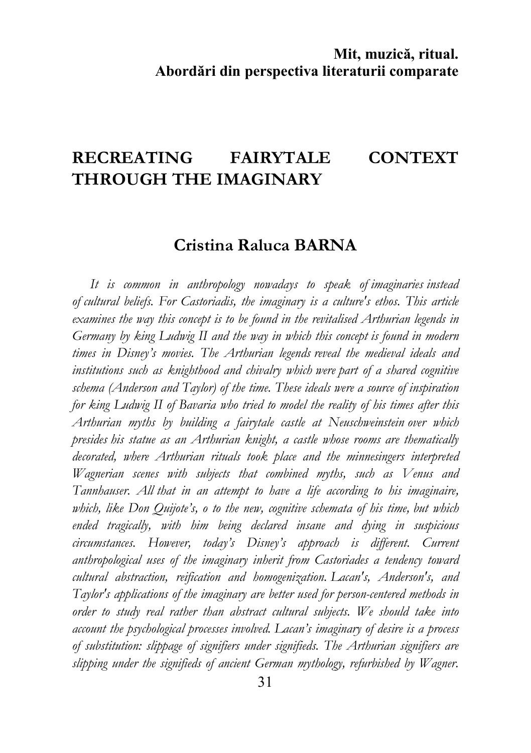# RECREATING FAIRYTALE CONTEXT THROUGH THE IMAGINARY

# Cristina Raluca BARNA

It is common in anthropology nowadays to speak of imaginaries instead of cultural beliefs. For Castoriadis, the imaginary is a culture's ethos. This article examines the way this concept is to be found in the revitalised Arthurian legends in Germany by king Ludwig II and the way in which this concept is found in modern times in Disney's movies. The Arthurian legends reveal the medieval ideals and institutions such as knighthood and chivalry which were part of a shared cognitive schema (Anderson and Taylor) of the time. These ideals were a source of inspiration for king Ludwig II of Bavaria who tried to model the reality of his times after this Arthurian myths by building a fairytale castle at Neuschweinstein over which presides his statue as an Arthurian knight, a castle whose rooms are thematically decorated, where Arthurian rituals took place and the minnesingers interpreted Wagnerian scenes with subjects that combined myths, such as Venus and Tannhauser. All that in an attempt to have a life according to his imaginaire, which, like Don Quijote's, o to the new, cognitive schemata of his time, but which ended tragically, with him being declared insane and dying in suspicious circumstances. However, today's Disney's approach is different. Current anthropological uses of the imaginary inherit from Castoriades a tendency toward cultural abstraction, reification and homogenization. Lacan's, Anderson's, and Taylor's applications of the imaginary are better used for person-centered methods in order to study real rather than abstract cultural subjects. We should take into account the psychological processes involved. Lacan's imaginary of desire is a process of substitution: slippage of signifiers under signifieds. The Arthurian signifiers are slipping under the signifieds of ancient German mythology, refurbished by Wagner.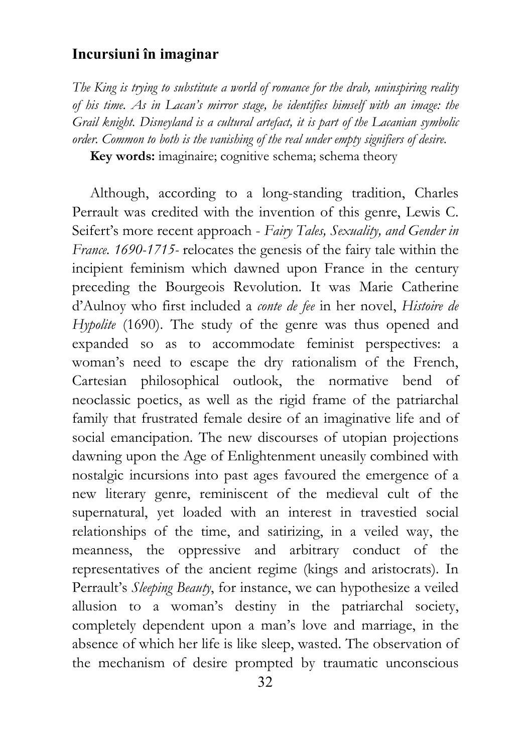The King is trying to substitute a world of romance for the drab, uninspiring reality of his time. As in Lacan's mirror stage, he identifies himself with an image: the Grail knight. Disneyland is a cultural artefact, it is part of the Lacanian symbolic order. Common to both is the vanishing of the real under empty signifiers of desire. Key words: imaginaire; cognitive schema; schema theory

Although, according to a long-standing tradition, Charles Perrault was credited with the invention of this genre, Lewis C. Seifert's more recent approach - Fairy Tales, Sexuality, and Gender in France. 1690-1715- relocates the genesis of the fairy tale within the incipient feminism which dawned upon France in the century preceding the Bourgeois Revolution. It was Marie Catherine d'Aulnoy who first included a conte de fee in her novel, Histoire de Hypolite (1690). The study of the genre was thus opened and expanded so as to accommodate feminist perspectives: a woman's need to escape the dry rationalism of the French, Cartesian philosophical outlook, the normative bend of neoclassic poetics, as well as the rigid frame of the patriarchal family that frustrated female desire of an imaginative life and of social emancipation. The new discourses of utopian projections dawning upon the Age of Enlightenment uneasily combined with nostalgic incursions into past ages favoured the emergence of a new literary genre, reminiscent of the medieval cult of the supernatural, yet loaded with an interest in travestied social relationships of the time, and satirizing, in a veiled way, the meanness, the oppressive and arbitrary conduct of the representatives of the ancient regime (kings and aristocrats). In Perrault's Sleeping Beauty, for instance, we can hypothesize a veiled allusion to a woman's destiny in the patriarchal society, completely dependent upon a man's love and marriage, in the absence of which her life is like sleep, wasted. The observation of the mechanism of desire prompted by traumatic unconscious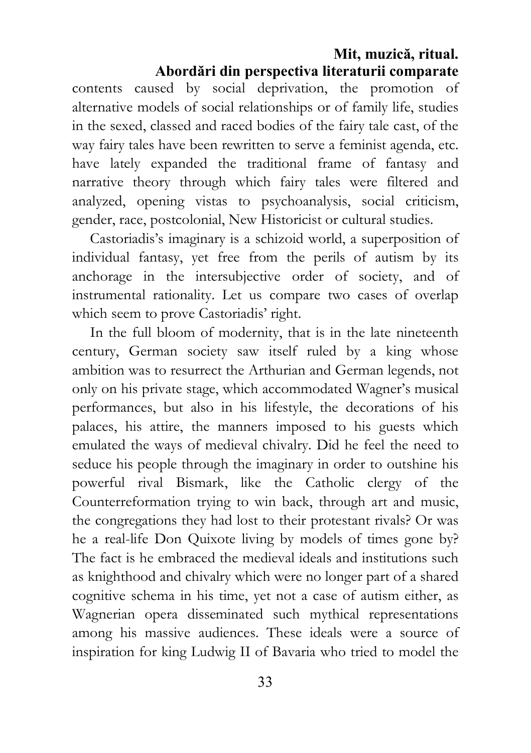contents caused by social deprivation, the promotion of alternative models of social relationships or of family life, studies in the sexed, classed and raced bodies of the fairy tale cast, of the way fairy tales have been rewritten to serve a feminist agenda, etc. have lately expanded the traditional frame of fantasy and narrative theory through which fairy tales were filtered and analyzed, opening vistas to psychoanalysis, social criticism, gender, race, postcolonial, New Historicist or cultural studies.

Castoriadis's imaginary is a schizoid world, a superposition of individual fantasy, yet free from the perils of autism by its anchorage in the intersubjective order of society, and of instrumental rationality. Let us compare two cases of overlap which seem to prove Castoriadis' right.

In the full bloom of modernity, that is in the late nineteenth century, German society saw itself ruled by a king whose ambition was to resurrect the Arthurian and German legends, not only on his private stage, which accommodated Wagner's musical performances, but also in his lifestyle, the decorations of his palaces, his attire, the manners imposed to his guests which emulated the ways of medieval chivalry. Did he feel the need to seduce his people through the imaginary in order to outshine his powerful rival Bismark, like the Catholic clergy of the Counterreformation trying to win back, through art and music, the congregations they had lost to their protestant rivals? Or was he a real-life Don Quixote living by models of times gone by? The fact is he embraced the medieval ideals and institutions such as knighthood and chivalry which were no longer part of a shared cognitive schema in his time, yet not a case of autism either, as Wagnerian opera disseminated such mythical representations among his massive audiences. These ideals were a source of inspiration for king Ludwig II of Bavaria who tried to model the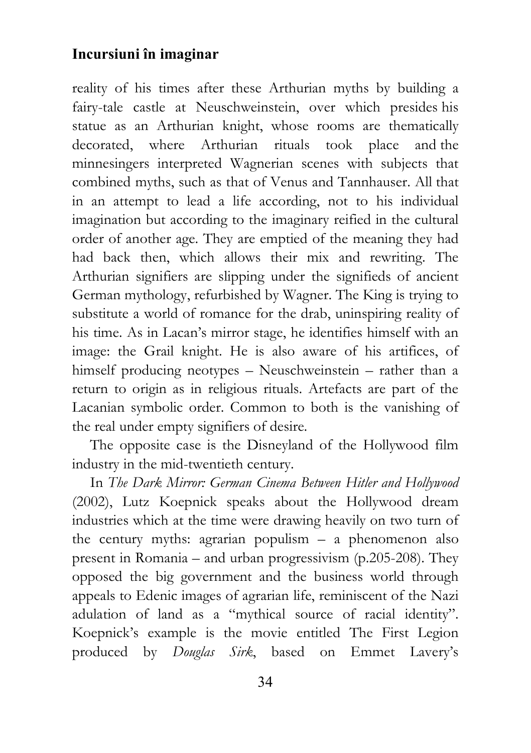reality of his times after these Arthurian myths by building a fairy-tale castle at Neuschweinstein, over which presides his statue as an Arthurian knight, whose rooms are thematically decorated, where Arthurian rituals took place and the minnesingers interpreted Wagnerian scenes with subjects that combined myths, such as that of Venus and Tannhauser. All that in an attempt to lead a life according, not to his individual imagination but according to the imaginary reified in the cultural order of another age. They are emptied of the meaning they had had back then, which allows their mix and rewriting. The Arthurian signifiers are slipping under the signifieds of ancient German mythology, refurbished by Wagner. The King is trying to substitute a world of romance for the drab, uninspiring reality of his time. As in Lacan's mirror stage, he identifies himself with an image: the Grail knight. He is also aware of his artifices, of himself producing neotypes – Neuschweinstein – rather than a return to origin as in religious rituals. Artefacts are part of the Lacanian symbolic order. Common to both is the vanishing of the real under empty signifiers of desire.

The opposite case is the Disneyland of the Hollywood film industry in the mid-twentieth century.

In The Dark Mirror: German Cinema Between Hitler and Hollywood (2002), Lutz Koepnick speaks about the Hollywood dream industries which at the time were drawing heavily on two turn of the century myths: agrarian populism – a phenomenon also present in Romania – and urban progressivism (p.205-208). They opposed the big government and the business world through appeals to Edenic images of agrarian life, reminiscent of the Nazi adulation of land as a "mythical source of racial identity". Koepnick's example is the movie entitled The First Legion produced by Douglas Sirk, based on Emmet Lavery's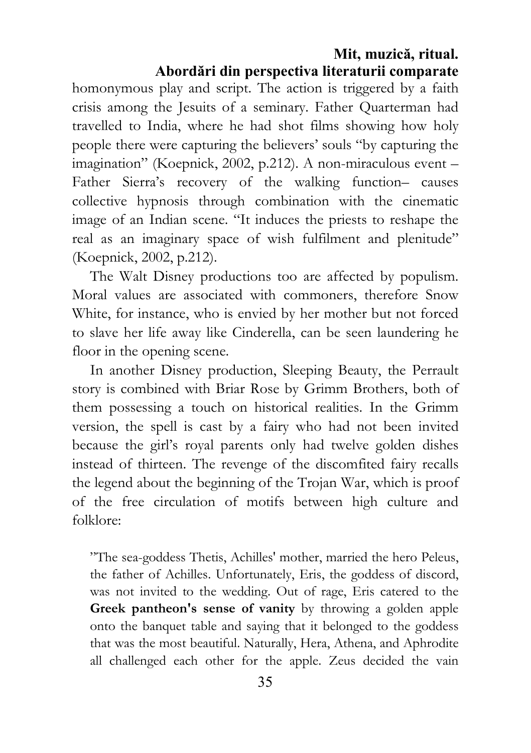homonymous play and script. The action is triggered by a faith crisis among the Jesuits of a seminary. Father Quarterman had travelled to India, where he had shot films showing how holy people there were capturing the believers' souls "by capturing the imagination" (Koepnick, 2002, p.212). A non-miraculous event – Father Sierra's recovery of the walking function– causes collective hypnosis through combination with the cinematic image of an Indian scene. "It induces the priests to reshape the real as an imaginary space of wish fulfilment and plenitude" (Koepnick, 2002, p.212).

The Walt Disney productions too are affected by populism. Moral values are associated with commoners, therefore Snow White, for instance, who is envied by her mother but not forced to slave her life away like Cinderella, can be seen laundering he floor in the opening scene.

In another Disney production, Sleeping Beauty, the Perrault story is combined with Briar Rose by Grimm Brothers, both of them possessing a touch on historical realities. In the Grimm version, the spell is cast by a fairy who had not been invited because the girl's royal parents only had twelve golden dishes instead of thirteen. The revenge of the discomfited fairy recalls the legend about the beginning of the Trojan War, which is proof of the free circulation of motifs between high culture and folklore:

"The sea-goddess Thetis, Achilles' mother, married the hero Peleus, the father of Achilles. Unfortunately, Eris, the goddess of discord, was not invited to the wedding. Out of rage, Eris catered to the Greek pantheon's sense of vanity by throwing a golden apple onto the banquet table and saying that it belonged to the goddess that was the most beautiful. Naturally, Hera, Athena, and Aphrodite all challenged each other for the apple. Zeus decided the vain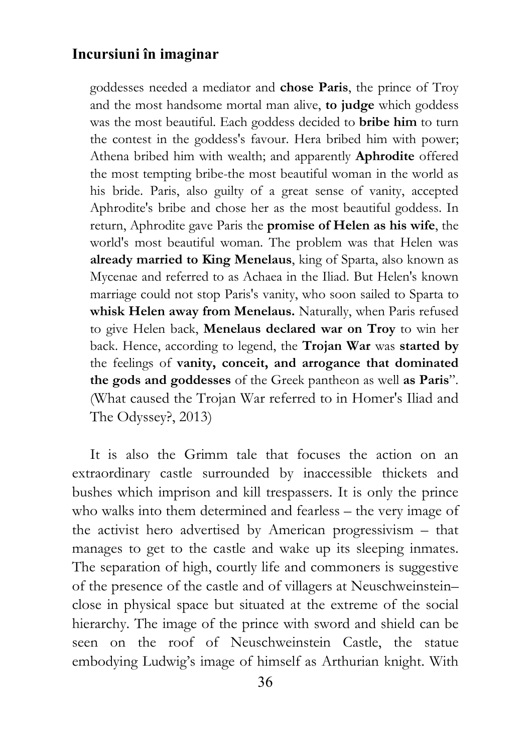goddesses needed a mediator and chose Paris, the prince of Troy and the most handsome mortal man alive, to judge which goddess was the most beautiful. Each goddess decided to bribe him to turn the contest in the goddess's favour. Hera bribed him with power; Athena bribed him with wealth; and apparently Aphrodite offered the most tempting bribe-the most beautiful woman in the world as his bride. Paris, also guilty of a great sense of vanity, accepted Aphrodite's bribe and chose her as the most beautiful goddess. In return, Aphrodite gave Paris the promise of Helen as his wife, the world's most beautiful woman. The problem was that Helen was already married to King Menelaus, king of Sparta, also known as Mycenae and referred to as Achaea in the Iliad. But Helen's known marriage could not stop Paris's vanity, who soon sailed to Sparta to whisk Helen away from Menelaus. Naturally, when Paris refused to give Helen back, Menelaus declared war on Troy to win her back. Hence, according to legend, the Trojan War was started by the feelings of vanity, conceit, and arrogance that dominated the gods and goddesses of the Greek pantheon as well as Paris". (What caused the Trojan War referred to in Homer's Iliad and The Odyssey?, 2013)

It is also the Grimm tale that focuses the action on an extraordinary castle surrounded by inaccessible thickets and bushes which imprison and kill trespassers. It is only the prince who walks into them determined and fearless – the very image of the activist hero advertised by American progressivism – that manages to get to the castle and wake up its sleeping inmates. The separation of high, courtly life and commoners is suggestive of the presence of the castle and of villagers at Neuschweinstein– close in physical space but situated at the extreme of the social hierarchy. The image of the prince with sword and shield can be seen on the roof of Neuschweinstein Castle, the statue embodying Ludwig's image of himself as Arthurian knight. With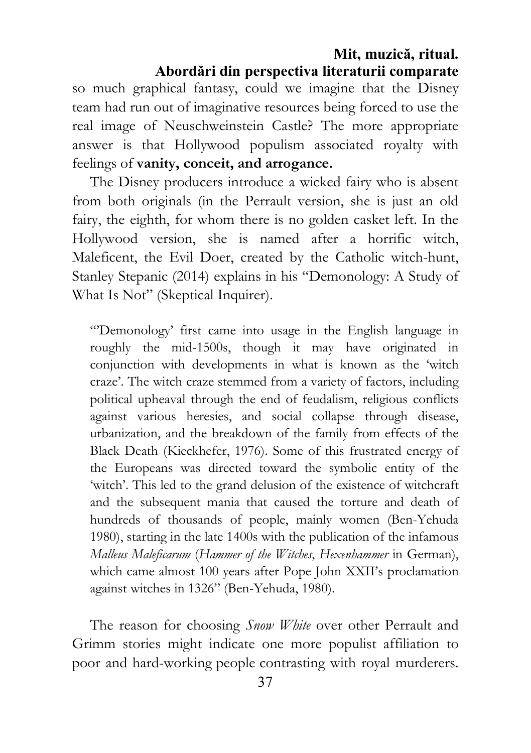so much graphical fantasy, could we imagine that the Disney team had run out of imaginative resources being forced to use the real image of Neuschweinstein Castle? The more appropriate answer is that Hollywood populism associated royalty with feelings of vanity, conceit, and arrogance.

The Disney producers introduce a wicked fairy who is absent from both originals (in the Perrault version, she is just an old fairy, the eighth, for whom there is no golden casket left. In the Hollywood version, she is named after a horrific witch, Maleficent, the Evil Doer, created by the Catholic witch-hunt, Stanley Stepanic (2014) explains in his "Demonology: A Study of What Is Not" (Skeptical Inquirer).

"'Demonology' first came into usage in the English language in roughly the mid-1500s, though it may have originated in conjunction with developments in what is known as the 'witch craze'. The witch craze stemmed from a variety of factors, including political upheaval through the end of feudalism, religious conflicts against various heresies, and social collapse through disease, urbanization, and the breakdown of the family from effects of the Black Death (Kieckhefer, 1976). Some of this frustrated energy of the Europeans was directed toward the symbolic entity of the 'witch'. This led to the grand delusion of the existence of witchcraft and the subsequent mania that caused the torture and death of hundreds of thousands of people, mainly women (Ben-Yehuda 1980), starting in the late 1400s with the publication of the infamous Malleus Maleficarum (Hammer of the Witches, Hexenhammer in German), which came almost 100 years after Pope John XXII's proclamation against witches in 1326" (Ben-Yehuda, 1980).

The reason for choosing Snow White over other Perrault and Grimm stories might indicate one more populist affiliation to poor and hard-working people contrasting with royal murderers.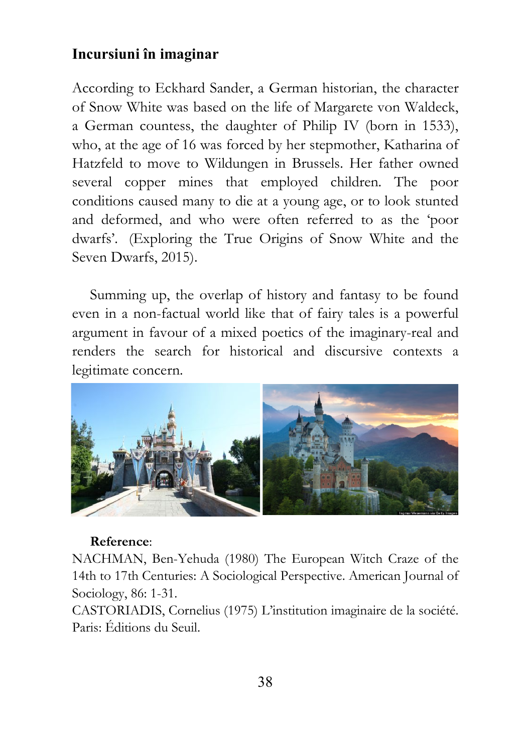According to Eckhard Sander, a German historian, the character of Snow White was based on the life of Margarete von Waldeck, a German countess, the daughter of Philip IV (born in 1533), who, at the age of 16 was forced by her stepmother, Katharina of Hatzfeld to move to Wildungen in Brussels. Her father owned several copper mines that employed children. The poor conditions caused many to die at a young age, or to look stunted and deformed, and who were often referred to as the 'poor dwarfs'. (Exploring the True Origins of Snow White and the Seven Dwarfs, 2015).

Summing up, the overlap of history and fantasy to be found even in a non-factual world like that of fairy tales is a powerful argument in favour of a mixed poetics of the imaginary-real and renders the search for historical and discursive contexts a legitimate concern.



#### Reference:

NACHMAN, Ben-Yehuda (1980) The European Witch Craze of the 14th to 17th Centuries: A Sociological Perspective. American Journal of Sociology, 86: 1-31.

CASTORIADIS, Cornelius (1975) L'institution imaginaire de la société. Paris: Éditions du Seuil.